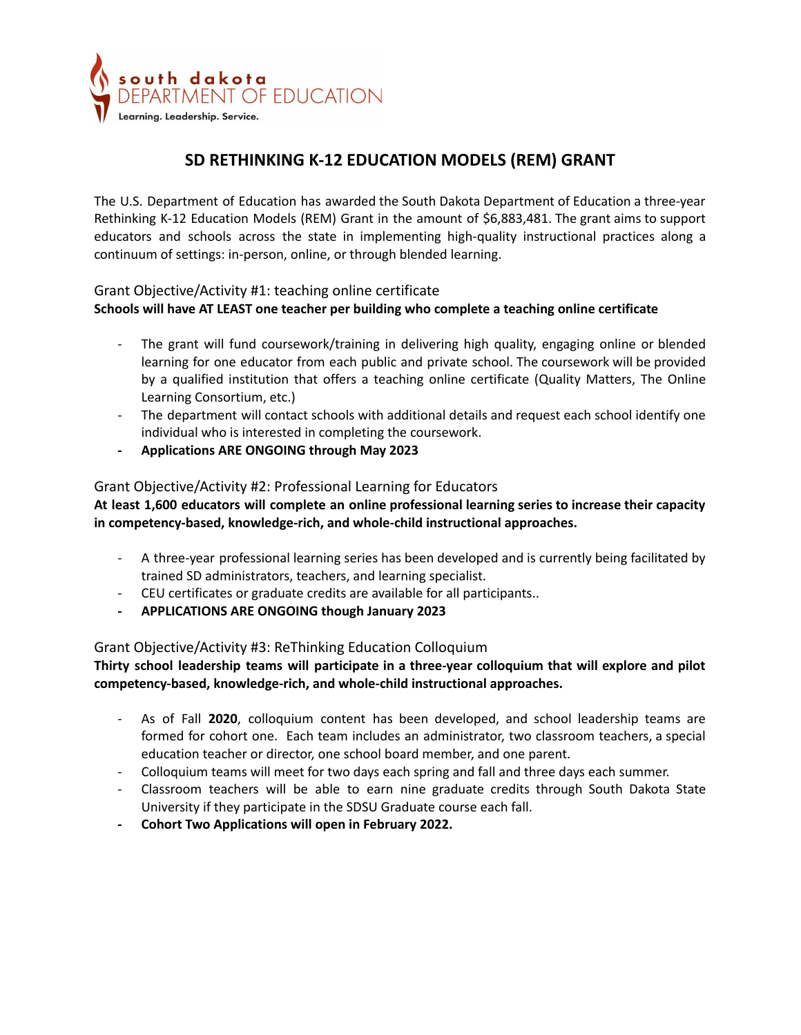

# **SD RETHINKING K-12 EDUCATION MODELS (REM) GRANT**

The U.S. Department of Education has awarded the South Dakota Department of Education a three-year Rethinking K-12 Education Models (REM) Grant in the amount of \$6,883,481. The grant aims to support educators and schools across the state in implementing high-quality instructional practices along a continuum of settings: in-person, online, or through blended learning.

#### Grant Objective/Activity #1: teaching online certificate

#### **Schools will have AT LEAST one teacher per building who complete a teaching online certificate**

- The grant will fund coursework/training in delivering high quality, engaging online or blended learning for one educator from each public and private school. The coursework will be provided by a qualified institution that offers a teaching online certificate (Quality Matters, The Online Learning Consortium, etc.)
- The department will contact schools with additional details and request each school identify one individual who is interested in completing the coursework.
- **- Applications ARE ONGOING through May 2023**

#### Grant Objective/Activity #2: Professional Learning for Educators

**At least 1,600 educators will complete an online professional learning series to increase their capacity in competency-based, knowledge-rich, and whole-child instructional approaches.**

- A three-year professional learning series has been developed and is currently being facilitated by trained SD administrators, teachers, and learning specialist.
- CEU certificates or graduate credits are available for all participants..
- **- APPLICATIONS ARE ONGOING though January 2023**

### Grant Objective/Activity #3: ReThinking Education Colloquium

#### **Thirty school leadership teams will participate in a three-year colloquium that will explore and pilot competency-based, knowledge-rich, and whole-child instructional approaches.**

- As of Fall **2020**, colloquium content has been developed, and school leadership teams are formed for cohort one. Each team includes an administrator, two classroom teachers, a special education teacher or director, one school board member, and one parent.
- Colloquium teams will meet for two days each spring and fall and three days each summer.
- Classroom teachers will be able to earn nine graduate credits through South Dakota State University if they participate in the SDSU Graduate course each fall.
- **- Cohort Two Applications will open in February 2022.**